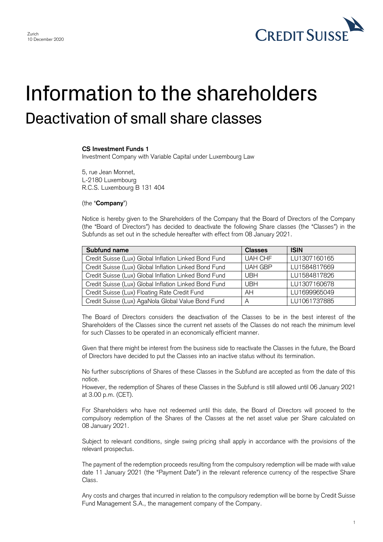

## Information to the shareholders Deactivation of small share classes

## **CS Investment Funds 1**

Investment Company with Variable Capital under Luxembourg Law

5, rue Jean Monnet, L-2180 Luxembourg R.C.S. Luxembourg B 131 404

(the "**Company**")

 Notice is hereby given to the Shareholders of the Company that the Board of Directors of the Company (the "Board of Directors") has decided to deactivate the following Share classes (the "Classes") in the Subfunds as set out in the schedule hereafter with effect from 08 January 2021.

| Subfund name                                          | <b>Classes</b> | <b>ISIN</b>  |
|-------------------------------------------------------|----------------|--------------|
| Credit Suisse (Lux) Global Inflation Linked Bond Fund | <b>UAH CHF</b> | LU1307160165 |
| Credit Suisse (Lux) Global Inflation Linked Bond Fund | <b>UAH GBP</b> | LU1584817669 |
| Credit Suisse (Lux) Global Inflation Linked Bond Fund | <b>UBH</b>     | LU1584817826 |
| Credit Suisse (Lux) Global Inflation Linked Bond Fund | <b>UBH</b>     | LU1307160678 |
| Credit Suisse (Lux) Floating Rate Credit Fund         | AH             | LU1699965049 |
| Credit Suisse (Lux) AgaNola Global Value Bond Fund    | A              | LU1061737885 |

 The Board of Directors considers the deactivation of the Classes to be in the best interest of the Shareholders of the Classes since the current net assets of the Classes do not reach the minimum level for such Classes to be operated in an economically efficient manner.

 Given that there might be interest from the business side to reactivate the Classes in the future, the Board of Directors have decided to put the Classes into an inactive status without its termination.

 No further subscriptions of Shares of these Classes in the Subfund are accepted as from the date of this notice.

 However, the redemption of Shares of these Classes in the Subfund is still allowed until 06 January 2021 at 3.00 p.m. (CET).

 For Shareholders who have not redeemed until this date, the Board of Directors will proceed to the compulsory redemption of the Shares of the Classes at the net asset value per Share calculated on 08 January 2021.

 Subject to relevant conditions, single swing pricing shall apply in accordance with the provisions of the relevant prospectus.

 The payment of the redemption proceeds resulting from the compulsory redemption will be made with value date 11 January 2021 (the "Payment Date") in the relevant reference currency of the respective Share Class.

 Any costs and charges that incurred in relation to the compulsory redemption will be borne by Credit Suisse Fund Management S.A., the management company of the Company.